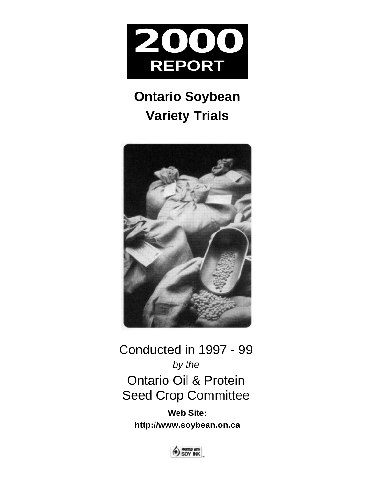

# **Ontario Soybean Variety Trials**



Conducted in 1997 - 99 *by the* Ontario Oil & Protein Seed Crop Committee

> **Web Site: http://www.soybean.on.ca**

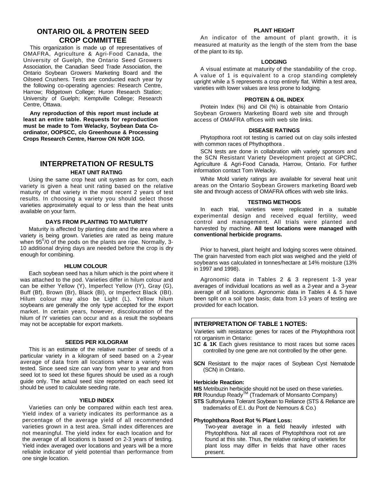### **ONTARIO OIL & PROTEIN SEED CROP COMMITTEE**

This organization is made up of representatives of OMAFRA, Agriculture & Agri-Food Canada, the University of Guelph, the Ontario Seed Growers Association, the Canadian Seed Trade Association, the Ontario Soybean Growers Marketing Board and the Oilseed Crushers. Tests are conducted each year by the following co-operating agencies: Research Centre, Harrow; Ridgetown College; Huron Research Station; University of Guelph; Kemptville College; Research Centre, Ottawa.

**Any reproduction of this report must include at least an entire table. Requests for reproduction must be made to Tom Welacky, Soybean Data Coordinator, OOPSCC, c/o Greenhouse & Processing Crops Research Centre, Harrow ON NOR 1GO.**

### **INTERPRETATION OF RESULTS HEAT UNIT RATING**

Using the same crop heat unit system as for corn, each variety is given a heat unit rating based on the relative maturity of that variety in the most recent 2 years of test results. In choosing a variety you should select those varieties approximately equal to or less than the heat units available on your farm.

### **DAYS FROM PLANTING TO MATURITY**

Maturity is affected by planting date and the area where a variety is being grown. Varieties are rated as being mature when  $95^{\circ}/0$  of the pods on the plants are ripe. Normally, 3-10 additional drying days are needed before the crop is dry enough for combining.

#### **HILUM COLOUR**

Each soybean seed has a hilum which is the point where it was attached to the pod. Varieties differ in hilum colour and can be either Yellow (Y), Imperfect Yellow (IY), Gray (G), Buff (Bf), Brown (Br), Black (BI), or Imperfect Black (IBI). Hilum colour may also be Light (L). Yellow hilum soybeans are generally the only type accepted for the export market. In certain years, however, discolouration of the hilum of IY varieties can occur and as a result the soybeans may not be acceptable for export markets.

#### **SEEDS PER KILOGRAM**

This is an estimate of the relative number of seeds of a particular variety in a kilogram of seed based on a 2-year average of data from all locations where a variety was tested. Since seed size can vary from year to year and from seed lot to seed lot these figures should be used as a rough guide only. The actual seed size reported on each seed lot should be used to calculate seeding rate.

### **YIELD INDEX**

Varieties can only be compared within each test area. Yield index of a variety indicates its performance as a percentage of the average yield of all recommended varieties grown in a test area. Small index differences are not meaningful. The yield index for each location and for the average of all locations is based on 2-3 years of testing. Yield index averaged over locations and years will be a more reliable indicator of yield potential than performance from one single location.

#### **PLANT HEIGHT**

An indicator of the amount of plant growth, it is measured at maturity as the length of the stem from the base of the plant to its tip.

#### **LODGING**

A visual estimate at maturity of the standability of the crop. A value of 1 is equivalent to a crop standing completely upright while a 5 represents a crop entirely flat. Within a test area, varieties with lower values are less prone to lodging.

#### **PROTEIN & OIL INDEX**

Protein Index (%) and Oil (%) is obtainable from Ontario Soybean Growers Marketing Board web site and through access of OMAFRA offices with web site links.

#### **DISEASE RATINGS**

Phytopthora root rot testing is carried out on clay soils infested with common races of Phythopthora .

SCN tests are done in collabration with variety sponsors and the SCN Resistant Variety Development project at GPCRC, Agriculture & Agri-Food Canada, Harrow, Ontario. For further information contact Tom Welacky.

White Mold variety ratings are available for several heat unit areas on the Ontario Soybean Growers marketing Board web site and through access of OMAFRA offices with web site links.

### **TESTING METHODS**

In each trial, varieties were replicated in a suitable experimental design and received equal fertility, weed control and management. All trials were planted and harvested by machine. **All test locations were managed with conventional herbicide programs.**

Prior to harvest, plant height and lodging scores were obtained. The grain harvested from each plot was weighed and the yield of soybeans was calculated in tonnes/hectare at 14% moisture (13% in 1997 and 1998).

Agronomic data in Tables 2 & 3 represent 1-3 year averages of individual locations as well as a 2-year and a 3-year average of all locations. Agronomic data in Tables 4 & 5 have been split on a soil type basis; data from 1-3 years of testing are provided for each location.

### **INTERPRETATION OF TABLE 1 NOTES:**

Varieties with resistance genes for races of the Phytophthora root rot organism in Ontario:

- **1C & 1K** Each gives resistance to most races but some races controlled by one gene are not controlled by the other gene.
- **SCN** Resistant to the major races of Soybean Cyst Nematode (SCN) in Ontario.

#### **Herbicide Reaction:**

**MS** Metribuzin herbicide should not be used on these varieties. RR Roundup Ready<sup>™</sup> (Trademark of Monsanto Company)

**STS** Sulfonylurea Tolerant Soybean to Reliance (STS & Reliance are trademarks of E.I. du Pont de Nemours & Co.)

#### **Phytophthora Root Rot % Plant Loss:**

Two-year average in a field heavily infested with Phytophthora. Not all races of Phytophthora root rot are found at this site. Thus, the relative ranking of varieties for plant loss may differ in fields that have other races present.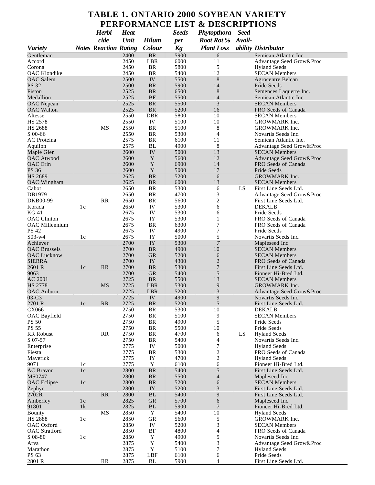### **TABLE 1. ONTARIO 2000 SOYBEAN VARIETY PERFORMANCE LIST & DESCRIPTIONS**

|                                 |                | Herbi-                            | <b>Heat</b>  |                        | <b>Seeds</b> | Phytopthora                   | <b>Seed</b> |                                              |
|---------------------------------|----------------|-----------------------------------|--------------|------------------------|--------------|-------------------------------|-------------|----------------------------------------------|
|                                 |                | cide                              | Unit         | <b>Hilum</b>           | per          | <b>Root Rot %</b>             | Avail-      |                                              |
| <b>Variety</b>                  |                | <b>Notes Reaction Rating</b>      |              | Colour                 | Kg           | <b>Plant Loss</b>             |             | ability Distributor                          |
| Gentleman                       |                |                                   | 2400         | $\rm{BR}$              | 5900         | 6                             |             | Semican Atlantic Inc.                        |
| Accord                          |                |                                   | 2450         | <b>LBR</b>             | 6000         | 11                            |             | Advantage Seed Grow&Proc                     |
| Corona                          |                |                                   | 2450         | <b>BR</b>              | 5800         | 5                             |             | <b>Hyland Seeds</b>                          |
| <b>OAC</b> Klondike             |                |                                   | 2450         | <b>BR</b>              | 5400         | 12                            |             | <b>SECAN Members</b>                         |
| <b>OAC</b> Salem                |                |                                   | 2500         | IV                     | 5500         | 8                             |             | Agrocentre Belcan                            |
| <b>PS 32</b>                    |                |                                   | 2500         | <b>BR</b>              | 5900         | 14                            |             | Pride Seeds                                  |
| Fiston                          |                |                                   | 2525         | <b>BR</b>              | 6500         | 8                             |             | Semences Laquerre Inc.                       |
| Medallion                       |                |                                   | 2525         | <b>BF</b>              | 5500         | 14                            |             | Semican Atlantic Inc.                        |
| <b>OAC</b> Nepean               |                |                                   | 2525         | <b>BR</b>              | 5500         | 3                             |             | <b>SECAN Members</b>                         |
| <b>OAC</b> Walton               |                |                                   | 2525         | <b>BR</b>              | 5200         | 16                            |             | PRO Seeds of Canada                          |
| Altesse                         |                |                                   | 2550         | <b>DBR</b>             | 5800         | 10                            |             | <b>SECAN Members</b>                         |
| <b>HS 2578</b>                  |                |                                   | 2550         | IV                     | 5100         | 10                            |             | GROWMARK Inc.                                |
| <b>HS 2688</b><br>S 00-66       |                | <b>MS</b>                         | 2550<br>2550 | <b>BR</b><br><b>BR</b> | 5100         | 8<br>$\overline{4}$           |             | GROWMARK Inc.                                |
| <b>AC</b> Proteina              |                |                                   | 2575         | <b>BR</b>              | 5300<br>6100 | 11                            |             | Novartis Seeds Inc.<br>Semican Atlantic Inc. |
| Aquilon                         |                |                                   | 2575         | <b>BL</b>              | 4900         | 8                             |             | Advantage Seed Grow&Proc                     |
| Maple Glen                      |                |                                   | 2600         | IV                     | 5000         | 13                            |             | <b>SECAN Members</b>                         |
| <b>OAC</b> Atwood               |                |                                   | 2600         | Y                      | 5600         | 12                            |             | Advantage Seed Grow&Proc                     |
| <b>OAC</b> Erin                 |                |                                   | 2600         | $\mathbf Y$            | 6900         | 14                            |             | PRO Seeds of Canada                          |
| <b>PS 36</b>                    |                |                                   | 2600         | Y                      | 5000         | 17                            |             | Pride Seeds                                  |
| <b>HS 2689</b>                  |                |                                   | 2625         | <b>BR</b>              | 5200         | 6                             |             | <b>GROWMARK</b> Inc.                         |
| <b>OAC</b> Wingham              |                |                                   | 2625         | <b>BR</b>              | 6000         | 13                            |             | <b>SECAN Members</b>                         |
| Cabot                           |                |                                   | 2650         | <b>BR</b>              | 5300         | 6                             | LS          | First Line Seeds Ltd.                        |
| DB1979                          |                |                                   | 2650         | <b>BR</b>              | 4700         | 13                            |             | Advantage Seed Grow&Proc                     |
| DKB00-99                        |                | RR                                | 2650         | <b>BR</b>              | 5600         | $\boldsymbol{2}$              |             | First Line Seeds Ltd.                        |
| Korada                          | 1c             |                                   | 2650         | IV                     | 5300         | 6                             |             | <b>DEKALB</b>                                |
| KG 41                           |                |                                   | 2675         | IV                     | 5300         | 6                             |             | Pride Seeds                                  |
| <b>OAC</b> Clinton              |                |                                   | 2675         | IY                     | 5300         | 1                             |             | PRO Seeds of Canada                          |
| OAC Millennium                  |                |                                   | 2675         | <b>BR</b>              | 6300         | 7                             |             | PRO Seeds of Canada                          |
| <b>PS 42</b>                    |                |                                   | 2675         | IV                     | 4900         | 7                             |             | Pride Seeds                                  |
| $S$ 03-w4                       | 1c             |                                   | 2675         | IY                     | 5000         | 5                             |             | Novartis Seeds Inc.                          |
| Achiever<br><b>OAC</b> Brussels |                |                                   | 2700<br>2700 | IY<br><b>BR</b>        | 5300<br>4900 | 7<br>10                       |             | Mapleseed Inc.<br><b>SECAN Members</b>       |
| <b>OAC</b> Lucknow              |                |                                   | 2700         | <b>GR</b>              | 5200         | 6                             |             | <b>SECAN Members</b>                         |
| <b>SIERRA</b>                   |                |                                   | 2700         | ${\it IY}$             | 4300         | $\overline{2}$                |             | PRO Seeds of Canada                          |
| 2601 R                          | 1c             | <b>RR</b>                         | 2700         | <b>BR</b>              | 5300         | $\overline{7}$                |             | First Line Seeds Ltd.                        |
| 9063                            |                |                                   | 2700         | <b>GR</b>              | 5400         | 5                             |             | Pioneer Hi-Bred Ltd.                         |
| AC 2001                         |                |                                   | 2725         | <b>BR</b>              | 5500         | 13                            |             | <b>SECAN Members</b>                         |
| <b>HS 2778</b>                  |                | <b>MS</b>                         | 2725         | LBR                    | 5300         | 9                             |             | <b>GROWMARK</b> Inc.                         |
| <b>OAC</b> Auburn               |                |                                   | 2725         | <b>LBR</b>             | 5200         | 13                            |             | Advantage Seed Grow&Proc                     |
| $03-C3$                         |                |                                   | 2725         | IV                     | 4900         | 9                             |             | Novartis Seeds Inc.                          |
| 2701 R                          | 1c             | RR                                | 2725         | $\rm{BR}$              | 5200         | 5                             |             | First Line Seeds Ltd.                        |
| CX066                           |                |                                   | 2750         | BR                     | 5300         | 10                            |             | <b>DEKALB</b>                                |
| OAC Bayfield                    |                |                                   | 2750         | $\rm{BR}$              | 5100         | 9                             |             | <b>SECAN Members</b>                         |
| <b>PS 50</b>                    |                |                                   | 2750         | $\rm{BR}$              | 4900         | 5                             |             | Pride Seeds                                  |
| PS 55                           |                |                                   | 2750         | BR                     | 5500         | 10                            |             | Pride Seeds                                  |
| RR Robust                       |                | $\ensuremath{\mathsf{RR}}\xspace$ | 2750         | BR                     | 4700         | 6                             | LS          | <b>Hyland Seeds</b>                          |
| S 07-57                         |                |                                   | 2750<br>2775 | BR                     | 5400         | 4                             |             | Novartis Seeds Inc.                          |
| Enterprise<br>Fiesta            |                |                                   | 2775         | IV<br>BR               | 5000<br>5300 | 7<br>$\overline{\mathbf{c}}$  |             | <b>Hyland Seeds</b><br>PRO Seeds of Canada   |
| Maverick                        |                |                                   | 2775         | IY                     | 4700         | $\boldsymbol{2}$              |             | <b>Hyland Seeds</b>                          |
| 9071                            | 1c             |                                   | 2775         | $\mathbf Y$            | 6100         | 6                             |             | Pioneer Hi-Bred Ltd.                         |
| <b>AC</b> Bravor                | 1c             |                                   | 2800         | <b>BR</b>              | 5400         | $\sqrt{5}$                    |             | First Line Seeds Ltd.                        |
| MS0747                          |                |                                   | 2800         | $\rm{BR}$              | 5500         | $\overline{\mathcal{L}}$      |             | Mapleseed Inc.                               |
| <b>OAC</b> Eclipse              | 1c             |                                   | 2800         | $\rm{BR}$              | 5200         | 6                             |             | <b>SECAN Members</b>                         |
| Zephyr                          |                |                                   | 2800         | IY                     | 5200         | 13                            |             | First Line Seeds Ltd.                        |
| 2702R                           |                | RR                                | 2800         | $\mathbf{BL}$          | 5400         | 9                             |             | First Line Seeds Ltd.                        |
| Amberley                        | 1c             |                                   | 2825         | <b>GR</b>              | 5700         | $\boldsymbol{6}$              |             | Mapleseed Inc.                               |
| 91801                           | 1k             |                                   | 2825         | BL                     | 5900         | $\overline{7}$                |             | Pioneer Hi-Bred Ltd.                         |
| <b>Bounty</b>                   |                | MS                                | 2850         | Y                      | 5400         | 10                            |             | <b>Hyland Seeds</b>                          |
| <b>HS 2888</b>                  | 1c             |                                   | 2850         | <b>GR</b>              | 5600         | 5                             |             | GROWMARK Inc.                                |
| OAC Oxford                      |                |                                   | 2850         | IV                     | 5200         | 3                             |             | <b>SECAN Members</b>                         |
| OAC Stratford                   |                |                                   | 2850         | BF                     | 4800         | 4                             |             | PRO Seeds of Canada                          |
| S 08-80                         | 1 <sub>c</sub> |                                   | 2850         | $\mathbf Y$            | 4900         | $\mathfrak s$                 |             | Novartis Seeds Inc.                          |
| Arva                            |                |                                   | 2875         | $\mathbf Y$            | 5400         | 3                             |             | Advantage Seed Grow&Proc                     |
| Marathon<br>PS 63               |                |                                   | 2875<br>2875 | $\mathbf Y$<br>LBF     | 5100<br>6100 | 7                             |             | <b>Hyland Seeds</b><br>Pride Seeds           |
| 2801 R                          |                | RR                                | 2875         | $\rm BL$               | 5900         | 6<br>$\overline{\mathcal{A}}$ |             | First Line Seeds Ltd.                        |
|                                 |                |                                   |              |                        |              |                               |             |                                              |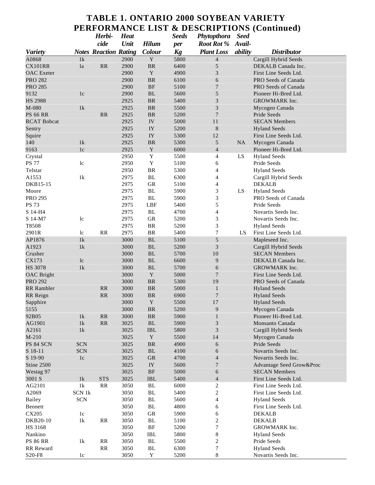### **TABLE 1. ONTARIO 2000 SOYBEAN VARIETY PERFORMANCE LIST & DESCRIPTIONS (Continued)**

|                    |               | Herbi-                            | <b>Heat</b>  |               | <b>Seeds</b> | Phytopthora                 | <b>Seed</b> |                                       |
|--------------------|---------------|-----------------------------------|--------------|---------------|--------------|-----------------------------|-------------|---------------------------------------|
|                    |               | cide                              | Unit         | <b>Hilum</b>  | per          | <b>Root Rot %</b>           | Avail-      |                                       |
| <b>Variety</b>     |               | <b>Notes Reaction Rating</b>      |              | Colour        | Kg           | <b>Plant Loss</b>           | ability     | <b>Distributor</b>                    |
| A0868              | 1k            |                                   | 2900         | Y             | 5800         | $\overline{4}$              |             | Cargill Hybrid Seeds                  |
| CX101RR            | la            | RR                                | 2900         | <b>BR</b>     | 6400         | 5                           |             | DEKALB Canada Inc.                    |
| <b>OAC</b> Exeter  |               |                                   | 2900         | $\mathbf Y$   | 4900         | 3                           |             | First Line Seeds Ltd.                 |
| <b>PRO 282</b>     |               |                                   | 2900         | <b>BR</b>     | 6100         | 6                           |             | PRO Seeds of Canada                   |
| <b>PRO 285</b>     |               |                                   | 2900         | <b>BF</b>     | 5100         | 7                           |             | PRO Seeds of Canada                   |
| 9132               | 1c            |                                   | 2900         | <b>BL</b>     | 5600         | 5                           |             | Pioneer Hi-Bred Ltd.                  |
| <b>HS 2988</b>     |               |                                   | 2925         | <b>BR</b>     | 5400         | 3                           |             | GROWMARK Inc.                         |
| M-080              | 1k            |                                   | 2925         | <b>BR</b>     | 5500         | 3                           |             | Mycogen Canada                        |
| <b>PS 66 RR</b>    |               | <b>RR</b>                         | 2925         | <b>BR</b>     | 5200         | 7                           |             | Pride Seeds                           |
| <b>RCAT Bobcat</b> |               |                                   | 2925         | ${\rm IV}$    | 5000         | 11                          |             | <b>SECAN Members</b>                  |
| Sentry             |               |                                   | 2925         | ${\it IY}$    | 5200         | 8                           |             | <b>Hyland Seeds</b>                   |
| Squire             |               |                                   | 2925         | ${\it IY}$    | 5300         | 12                          |             | First Line Seeds Ltd.                 |
| 140                | 1k            |                                   | 2925         | <b>BR</b>     | 5300         | 5                           | NA          | Mycogen Canada                        |
| 9163               | 1c            |                                   | 2925         | $\mathbf Y$   | 6000         | $\overline{\mathcal{L}}$    |             | Pioneer Hi-Bred Ltd.                  |
| Crystal            |               |                                   | 2950         | Y             | 5500         | 4                           | LS          | <b>Hyland Seeds</b>                   |
| <b>PS 77</b>       | 1c            |                                   | 2950         | $\mathbf Y$   | 5100         | 6                           |             | Pride Seeds                           |
| Telstar            |               |                                   | 2950         | <b>BR</b>     | 5300         | 4                           |             | <b>Hyland Seeds</b>                   |
| A1553              | 1k            |                                   | 2975         | <b>BL</b>     | 6300         | 4                           |             |                                       |
|                    |               |                                   |              | ${\rm GR}$    |              |                             |             | Cargill Hybrid Seeds<br><b>DEKALB</b> |
| DKB15-15           |               |                                   | 2975<br>2975 | $\mathbf{BL}$ | 5100         | 4                           |             |                                       |
| Moore              |               |                                   |              |               | 5900         | 3                           | LS          | <b>Hyland Seeds</b>                   |
| <b>PRO 295</b>     |               |                                   | 2975         | <b>BL</b>     | 5900         | 3                           |             | PRO Seeds of Canada                   |
| <b>PS 73</b>       |               |                                   | 2975         | <b>LBF</b>    | 5400         | 5                           |             | Pride Seeds                           |
| S 14-H4            |               |                                   | 2975         | $\mathbf{BL}$ | 4700         | 4                           |             | Novartis Seeds Inc.                   |
| S 14-M7            | 1c            |                                   | 2975         | ${\rm GR}$    | 5200         | 3                           |             | Novartis Seeds Inc.                   |
| T8508              |               |                                   | 2975         | <b>BR</b>     | 5200         | 3                           |             | <b>Hyland Seeds</b>                   |
| 2901R              | 1c            | RR                                | 2975         | <b>BR</b>     | 5400         | 7                           | LS          | First Line Seeds Ltd.                 |
| AP1876             | 1k            |                                   | 3000         | <b>BL</b>     | 5100         | 5                           |             | Mapleseed Inc.                        |
| A1923              | 1k            |                                   | 3000         | $\mathbf{BL}$ | 5200         | 3                           |             | Cargill Hybrid Seeds                  |
| Crusher            |               |                                   | 3000         | BL            | 5700         | $10\,$                      |             | <b>SECAN Members</b>                  |
| CX173              | 1c            |                                   | 3000         | $\mathbf{BL}$ | 6600         | 9                           |             | DEKALB Canada Inc.                    |
| <b>HS 3078</b>     | 1k            |                                   | 3000         | <b>BL</b>     | 5700         | 6                           |             | <b>GROWMARK</b> Inc.                  |
| OAC Bright         |               |                                   | 3000         | $\mathbf Y$   | 5000         | 7                           |             | First Line Seeds Ltd.                 |
| <b>PRO 292</b>     |               |                                   | 3000         | <b>BR</b>     | 5300         | 19                          |             | PRO Seeds of Canada                   |
| <b>RR</b> Rambler  |               | RR                                | 3000         | <b>BR</b>     | 5000         | $\mathbf{1}$                |             | <b>Hyland Seeds</b>                   |
| RR Reign           |               | RR                                | 3000         | <b>BR</b>     | 6900         | 7                           |             | <b>Hyland Seeds</b>                   |
| Sapphire           |               |                                   | 3000         | $\mathbf Y$   | 5500         | 17                          |             | <b>Hyland Seeds</b>                   |
| 5155               |               |                                   | 3000         | $\rm{BR}$     | 5200         | $\overline{9}$              |             | Mycogen Canada                        |
| 92B05              | 1k            | $\ensuremath{\mathsf{RR}}\xspace$ | 3000         | $\rm{BR}$     | 5900         | $\mathbf{1}$                |             | Pioneer Hi-Bred Ltd.                  |
| AG1901             | $1\mathrm{k}$ | $\ensuremath{\mathsf{RR}}\xspace$ | 3025         | $\mathbf{BL}$ | 5900         | $\ensuremath{\mathfrak{Z}}$ |             | Monsanto Canada                       |
| A2161              | $1\mathrm{k}$ |                                   | 3025         | ${\rm IBL}$   | 5800         | $\mathfrak{Z}$              |             | Cargill Hybrid Seeds                  |
| $M-210$            |               |                                   | 3025         | $\mathbf Y$   | 5500         | 14                          |             | Mycogen Canada                        |
| PS 84 SCN          | <b>SCN</b>    |                                   | 3025         | $\rm{BR}$     | 4900         | $\sqrt{6}$                  |             | Pride Seeds                           |
| S 18-11            | <b>SCN</b>    |                                   | 3025         | $\mathbf{BL}$ | 4100         | 6                           |             | Novartis Seeds Inc.                   |
| S 19-90            | 1c            |                                   | 3025         | ${\rm GR}$    | 4700         | $\overline{\mathcal{L}}$    |             | Novartis Seeds Inc.                   |
| Stine 2500         |               |                                   | 3025         | IY            | 5600         | $\overline{7}$              |             | Advantage Seed Grow&Proc              |
| Westag 97          |               |                                   | 3025         | $\rm BF$      | 5000         | $\sqrt{6}$                  |             | <b>SECAN Members</b>                  |
| 3001 S             | 1k            | <b>STS</b>                        | 3025         | ${\rm IBL}$   | 5400         | $\overline{4}$              |             | First Line Seeds Ltd.                 |
| AG2101             | $1\mathrm{k}$ | $\ensuremath{\mathsf{RR}}\xspace$ | 3050         | $\mathbf{BL}$ | 6000         | $\sqrt{2}$                  |             | First Line Seeds Ltd.                 |
| A2069              | SCN 1k        |                                   | 3050         | $\mathbf{BL}$ | 5400         | $\boldsymbol{2}$            |             | First Line Seeds Ltd.                 |
| <b>Bailey</b>      | $\rm{SCN}$    |                                   | 3050         | $\mathbf{BL}$ | 5600         | 4                           |             | <b>Hyland Seeds</b>                   |
| Bennett            |               |                                   | 3050         | $\mathbf{BL}$ | 4800         | 6                           |             | First Line Seeds Ltd.                 |
| CX205              | $1c$          |                                   | 3050         | ${\rm GR}$    | 5900         | 6                           |             | <b>DEKALB</b>                         |
| DKB20-10           | $1\mathrm{k}$ | RR                                | 3050         | $\rm BL$      | 5100         | $\overline{c}$              |             | <b>DEKALB</b>                         |
| HS 3168            |               |                                   | 3050         | $\rm BF$      | 5200         | $\boldsymbol{7}$            |             | GROWMARK Inc.                         |
| Nankino            |               |                                   | 3050         | ${\rm IBL}$   | 5800         | $\,8\,$                     |             | <b>Hyland Seeds</b>                   |
| <b>PS 86 RR</b>    | 1k            | RR                                | 3050         | $\mathbf{BL}$ | 5500         | $\boldsymbol{2}$            |             | Pride Seeds                           |
| RR Reward          |               | $\ensuremath{\mathsf{RR}}\xspace$ | 3050         | $\mathbf{BL}$ | 6300         | $\boldsymbol{7}$            |             | <b>Hyland Seeds</b>                   |
| S20-F8             | 1c            |                                   | 3050         | $\mathbf Y$   | 5200         | $8\,$                       |             | Novartis Seeds Inc.                   |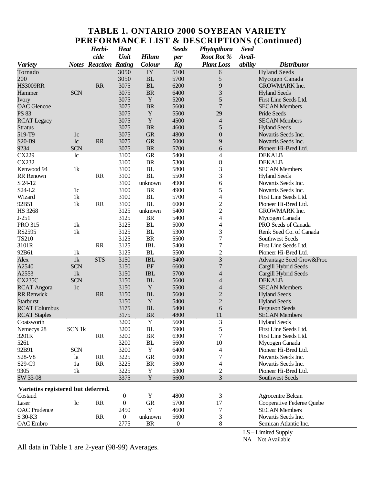### **TABLE 1. ONTARIO 2000 SOYBEAN VARIETY PERFORMANCE LIST & DESCRIPTIONS (Continued)**

|                                    |            | Herbi-                       | <b>Heat</b>      |               | <b>Seeds</b>     | Phytopthora       | <b>Seed</b> |                           |
|------------------------------------|------------|------------------------------|------------------|---------------|------------------|-------------------|-------------|---------------------------|
|                                    |            | cide                         | Unit             | <b>Hilum</b>  | per              | <b>Root Rot %</b> | Avail-      |                           |
| <b>Variety</b>                     |            | <b>Notes Reaction Rating</b> |                  | Colour        | Kg               | <b>Plant Loss</b> | ability     | <b>Distributor</b>        |
| Tornado                            |            |                              | 3050             | IY            | 5100             | $\boldsymbol{6}$  |             | <b>Hyland Seeds</b>       |
| 200                                |            |                              | 3050             | $\mathbf{BL}$ | 5700             | 5                 |             | Mycogen Canada            |
| <b>HS3009RR</b>                    |            | RR                           | 3075             | $\rm BL$      | 6200             | 9                 |             | GROWMARK Inc.             |
| Hammer                             | <b>SCN</b> |                              | 3075             | <b>BR</b>     | 6400             | 3                 |             | <b>Hyland Seeds</b>       |
| Ivory                              |            |                              | 3075             | $\mathbf Y$   | 5200             | 5                 |             | First Line Seeds Ltd.     |
| <b>OAC</b> Glencoe                 |            |                              | 3075             | <b>BR</b>     | 5600             | 7                 |             | <b>SECAN Members</b>      |
| <b>PS 83</b>                       |            |                              | 3075             | $\mathbf Y$   | 5500             | 29                |             | Pride Seeds               |
| <b>RCAT</b> Legacy                 |            |                              | 3075             | $\mathbf Y$   | 4500             | 4                 |             | <b>SECAN Members</b>      |
| <b>Stratus</b>                     |            |                              | 3075             | <b>BR</b>     | 4600             | 5                 |             | <b>Hyland Seeds</b>       |
| 519-T9                             | 1c         |                              | 3075             | ${\rm GR}$    | 4800             | $\boldsymbol{0}$  |             | Novartis Seeds Inc.       |
| S20-B9                             | $\iota$    | RR                           | 3075             | ${\rm GR}$    | 5000             | 9                 |             | Novartis Seeds Inc.       |
| 9234                               | <b>SCN</b> |                              | 3075             | $\rm{BR}$     | 5700             | 6                 |             | Pioneer Hi-Bred Ltd.      |
| CX229                              | lc         |                              | 3100             | <b>GR</b>     | 5400             | 4                 |             | <b>DEKALB</b>             |
| CX232                              |            |                              | 3100             | <b>BR</b>     | 5300             | $\,$ 8 $\,$       |             | <b>DEKALB</b>             |
| Kenwood 94                         | 1k         |                              | 3100             | BL            | 5800             | 3                 |             | <b>SECAN Members</b>      |
| <b>RR</b> Renown                   |            | <b>RR</b>                    | 3100             | <b>BL</b>     | 5500             | 3                 |             | <b>Hyland Seeds</b>       |
| S 24-12                            |            |                              | 3100             | unknown       | 4900             | 6                 |             | Novartis Seeds Inc.       |
| S24-L2                             | 1c         |                              | 3100             | <b>BR</b>     | 4900             | 5                 |             | Novartis Seeds Inc.       |
| Wizard                             | 1k         |                              | 3100             | $\mathbf{BL}$ | 5700             | 4                 |             | First Line Seeds Ltd.     |
| 92B51                              | 1k         | RR                           | 3100             | <b>BL</b>     | 6000             | 2                 |             | Pioneer Hi-Bred Ltd.      |
| <b>HS 3268</b>                     |            |                              | 3125             | unknown       | 5400             | $\overline{c}$    |             | GROWMARK Inc.             |
| $J-251$                            |            |                              | 3125             | <b>BR</b>     | 5400             | 4                 |             | Mycogen Canada            |
| <b>PRO 315</b>                     | 1k         |                              | 3125             | BL            | 5000             | 4                 |             | PRO Seeds of Canada       |
| RS2595                             | 1k         |                              | 3125             | <b>BL</b>     | 5300             | 3                 |             | Renk Seed Co. of Canada   |
| <b>TS210</b>                       |            |                              | 3125             | <b>BR</b>     | 5500             | 7                 |             | <b>Southwest Seeds</b>    |
| 3101R                              |            | <b>RR</b>                    | 3125             | <b>IBL</b>    | 5400             | 7                 |             | First Line Seeds Ltd.     |
| 92B61                              | 1k         |                              | 3125             | BL            | 5500             | $\overline{2}$    |             | Pioneer Hi-Bred Ltd.      |
| Alex                               | $1{\rm k}$ | <b>STS</b>                   | 3150             | <b>IBL</b>    | 5400             | 3                 |             | Advantage Seed Grow&Proc  |
| A2540                              | <b>SCN</b> |                              | 3150             | <b>BF</b>     | 6600             | $\overline{7}$    |             | Cargill Hybrid Seeds      |
| A2553                              | 1k         |                              | 3150             | <b>IBL</b>    | 5700             | 4                 |             | Cargill Hybrid Seeds      |
| <b>CX235C</b>                      | <b>SCN</b> |                              | 3150             | BL            | 5600             | 4                 |             | <b>DEKALB</b>             |
| <b>RCAT</b> Angora                 | 1c         |                              | 3150             | $\mathbf Y$   | 5500             | 4                 |             | <b>SECAN Members</b>      |
| <b>RR</b> Renwick                  |            | RR                           | 3150             | <b>BL</b>     | 5600             | $\overline{2}$    |             | <b>Hyland Seeds</b>       |
| Starburst                          |            |                              | 3150             | $\mathbf Y$   | 5400             | 2                 |             | <b>Hyland Seeds</b>       |
| <b>RCAT Columbus</b>               |            |                              | 3175             | BL            | 5400             | 6                 |             | <b>Ferguson Seeds</b>     |
| <b>RCAT Staples</b>                |            |                              | 3175             | <b>BR</b>     | 4800             | 11                |             | <b>SECAN Members</b>      |
| Coatsworth                         |            |                              | 3200             | $\mathbf Y$   | 5600             | $\mathfrak 3$     |             | <b>Hyland Seeds</b>       |
| Nemecys 28                         | SCN 1k     |                              | 3200             | BL            | 5900             | $\sqrt{5}$        |             | First Line Seeds Ltd.     |
| 3201R                              |            | RR                           | 3200             | <b>BR</b>     | 6300             | $\boldsymbol{7}$  |             | First Line Seeds Ltd.     |
| 5261                               |            |                              | 3200             | $\mathbf{BL}$ | 5600             | 10                |             | Mycogen Canada            |
| 92B91                              | <b>SCN</b> |                              | 3200             | $\mathbf Y$   | 6400             | $\overline{4}$    |             | Pioneer Hi-Bred Ltd.      |
| S28-V8                             | la         | RR                           | 3225             | ${\rm GR}$    | 6000             | 7                 |             | Novartis Seeds Inc.       |
| S29-C9                             | 1a         | RR                           | 3225             | <b>BR</b>     | 5800             | 4                 |             | Novartis Seeds Inc.       |
| 9305                               | 1k         |                              | 3225             | $\mathbf Y$   | 5300             | 2                 |             | Pioneer Hi-Bred Ltd.      |
| SW 33-08                           |            |                              | 3375             | $\mathbf Y$   | 5600             | 3                 |             | <b>Southwest Seeds</b>    |
| Varieties registered but deferred. |            |                              |                  |               |                  |                   |             |                           |
| Costaud                            |            |                              | $\boldsymbol{0}$ | Y             | 4800             | 3                 |             | <b>Agrocentre Belcan</b>  |
| Laser                              | 1c         | RR                           | $\boldsymbol{0}$ | ${\rm GR}$    | 5700             | 17                |             | Cooperative Federee Quebe |
| <b>OAC</b> Prudence                |            |                              | 2450             | Y             | 4600             | 7                 |             | <b>SECAN Members</b>      |
| S 30-K3                            |            | RR                           | $\overline{0}$   | unknown       | 5600             | $\mathfrak 3$     |             | Novartis Seeds Inc.       |
| <b>OAC</b> Embro                   |            |                              | 2775             | <b>BR</b>     | $\boldsymbol{0}$ | 8                 |             | Semican Atlantic Inc.     |

LS – Limited Supply

 $NA - Not Available$ 

All data in Table 1 are 2-year (98-99) Averages.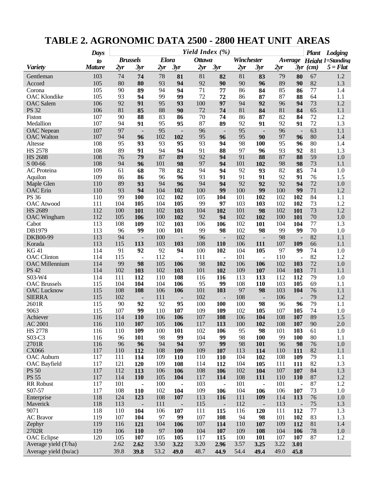# **TABLE 2. AGRONOMIC DATA 2500 - 2800 HEAT UNIT AREAS**

|                        | <b>Days</b>   | Yield Index (%) |                              |              |                       |               |                       |            |                              | <b>Plant</b> | Lodging                         |          |                                  |
|------------------------|---------------|-----------------|------------------------------|--------------|-----------------------|---------------|-----------------------|------------|------------------------------|--------------|---------------------------------|----------|----------------------------------|
|                        | to            |                 | <b>Brussels</b>              | <b>Elora</b> |                       | <b>Ottawa</b> |                       | Winchester |                              |              |                                 |          | <b>Average</b> Height 1=Standing |
| <b>Variety</b>         | <b>Mature</b> | 2yr             | 3yr                          | 2yr          | 3yr                   | 2yr           | 3yr                   | 2yr        | 3yr                          | 2yr          | 3yr                             | (cm)     | $5 = Flat$                       |
| Gentleman              | 103           | 74              | 74                           | 78           | 81                    | 81            | 82                    | 81         | 83                           | 79           | 80                              | 67       | 1.2                              |
| Accord                 | 105           | 80              | 80                           | 93           | 94                    | 92            | 90                    | 90         | 96                           | 89           | 90                              | 82       | 1.3                              |
| Corona                 | 105           | 90              | 89                           | 94           | 94                    | 71            | 77                    | 86         | 84                           | 85           | 86                              | 77       | 1.4                              |
| <b>OAC</b> Klondike    | 105           | 93              | 94                           | 99           | 99                    | 72            | 72                    | 86         | 87                           | 87           | 88                              | 64       | 1.1                              |
| <b>OAC</b> Salem       | 106           | 92              | 91                           | 95           | 93                    | 100           | 97                    | 94         | 92                           | 96           | 94                              | 73       | 1.2                              |
| <b>PS 32</b>           | 106           | 81              | 85                           | 88           | 90                    | 72            | 74                    | 81         | 84                           | 81           | 84                              | 65       | 1.1                              |
| Fiston                 | 107           | 90              | 88                           | 83           | 86                    | 70            | 74                    | 86         | 87                           | 82           | 84                              | 72       | 1.2                              |
| Medallion              | 107           | 94              | 91                           | 95           | 95                    | 87            | 89                    | 92         | 91                           | 92           | 91                              | 72       | 1.3                              |
| <b>OAC</b> Nepean      | 107           | 97              | $\blacksquare$               | 95           | $\blacksquare$        | 96            | $\blacksquare$        | 95         | $\blacksquare$               | 96           | $\blacksquare$                  | 63       | 1.1                              |
| <b>OAC</b> Walton      | 107           | 94              | 96                           | 102          | 102                   | 95            | 96                    | 95         | 90                           | 97           | 96                              | 80       | 1.4                              |
| Altesse                | 108           | 95              | 93                           | 93           | 95                    | 93            | 94                    | 98         | 100                          | 95           | 96                              | 80       | 1.4                              |
| <b>HS 2578</b>         | 108           | 89              | 91                           | 94           | 94                    | 91            | 88                    | 97         | 96                           | 93           | 92                              | 81       | 1.3                              |
| <b>HS 2688</b>         | 108           | 76              | 79                           | 87           | 89                    | 92            | 94                    | 91         | 88                           | 87           | 88                              | 59       | 1.0                              |
| S 00-66                | 108           | 94              | 96                           | 101          | 98                    | 97            | 94                    | 101        | 102                          | 98           | 98                              | 73       | 1.1                              |
| <b>AC</b> Proteina     | 109           | 61              | 68                           | 78           | 82                    | 94            | 94                    | 92         | 93                           | 82           | 85                              | 74       | 1.0                              |
| Aquilon                | 109           | 86              | 86                           | 96           | 96                    | 93            | 91                    | 91         | 91                           | 92           | 91                              | 76       | 1.5                              |
| Maple Glen             | 110           | 89              | 93                           | 94           | 96                    | 94            | 94                    | 92         | 92                           | 92           | 94                              | 72       | 1.0                              |
| <b>OAC</b> Erin        | 110           | 93              | 94                           | 104          | 102                   | 100           | 99                    | 100        | 99                           | 100          | 99                              | 71       | 1.2                              |
| <b>PS 36</b>           | 110           | 99              | <b>100</b>                   | 102          | 102                   | 105           | 104                   | 101        | 102                          | 102          | 102                             | 84       | 1.1                              |
| <b>OAC</b> Atwood      | 111           | 104             | 105                          | 104          | 105                   | 99            | 97                    | 103        | 103                          | 102          | 102                             | 73       | 1.2                              |
| <b>HS 2689</b>         | 112           | 100             | 101                          | 102          | 103                   | 104           | 102                   | 101        | 98                           | 102          | 101                             | 73       | 1.2                              |
| <b>OAC</b> Wingham     | 112           | 105             | 106                          | 100          | 102                   | 92            | 94                    | 102        | 102                          | 100          | 101                             | 70       | 1.0                              |
| Cabot<br>DB1979        | 113           | 108             | 109<br>99                    | 102<br>100   | 103                   | 106           | 106                   | 102<br>102 | 101<br>98                    | 104          | 104                             | 77<br>70 | 1.3                              |
| DKB00-99               | 113<br>113    | 96<br>94        |                              | 100          | 101                   | 99            | 98                    | 102        |                              | 99<br>98     | 99                              | 82       | 1.0                              |
| Korada                 | 113           | 115             | ÷,<br>113                    | 103          | $\blacksquare$<br>103 | 96<br>108     | 110                   | 106        | $\blacksquare$<br>111        | 107          | $\overline{\phantom{a}}$<br>109 | 66       | 1.1<br>1.1                       |
| <b>KG41</b>            | 114           | 91              | 92                           | 92           | 94                    | 100           | 102                   | 104        | 105                          | 97           | 99                              | 74       | 1.0                              |
| <b>OAC</b> Clinton     | 114           | 115             | $\blacksquare$               | 112          | ä,                    | 111           | $\blacksquare$        | 101        | $\blacksquare$               | 110          | ä,                              | 82       | 1.2                              |
| <b>OAC</b> Millennium  | 114           | 99              | 98                           | 105          | 106                   | 98            | 102                   | 106        | 106                          | 102          | 103                             | 72       | 1.0                              |
| <b>PS 42</b>           | 114           | 102             | 103                          | 102          | 103                   | 101           | 102                   | 109        | 107                          | 104          | 103                             | 71       | 1.1                              |
| S03-W4                 | 114           | 111             | 112                          | 110          | 108                   | 116           | 116                   | 113        | 113                          | 112          | 112                             | 79       | 1.0                              |
| <b>OAC</b> Brussels    | 115           | 104             | 104                          | 104          | 106                   | 95            | 99                    | 108        | 110                          | 103          | 105                             | 69       | 1.1                              |
| <b>OAC</b> Lucknow     | 115           | 108             | 108                          | 106          | 106                   | 101           | 103                   | 97         | 98                           | 103          | 104                             | 76       | 1.1                              |
| <b>SIERRA</b>          | 115           | 102             | ÷                            | 111          | $\blacksquare$        | 102           |                       | 108        | $\overline{\phantom{0}}$     | 106          | $\blacksquare$                  | 79       | 1.2                              |
| 2601R                  | 115           | 90              | 92                           | 92           | 95                    | 100           | 100                   | 100        | 98                           | 96           | 96                              | 79       | 1.1                              |
| 9063                   | 115           | 107             | 99                           | 110          | 107                   | 109           | 109                   | 102        | 105                          | 107          | 105                             | 74       | 1.0                              |
| Achiever               | 116           | 114             | 110                          | 106          | 106                   | 107           | 108                   | 106        | 104                          | 108          | 107                             | 89       | 1.5                              |
| AC 2001                | 116           | 110             | 107                          | 105          | 106                   | 117           | 113                   | 100        | 102                          | 108          | 107                             | 90       | $2.0\,$                          |
| <b>HS 2778</b>         | 116           | 110             | 109                          | 100          | 101                   | 102           | 106                   | 95         | 98                           | 101          | 103                             | 61       | 1.0                              |
| S03-C3                 | 116           | 96              | 101                          | 98           | 99                    | 104           | 99                    | 98         | 100                          | 99           | 100                             | 80       | 1.1                              |
| 2701R                  | 116           | 96              | 96                           | 94           | 94                    | 97            | 99                    | 98         | 101                          | 96           | 98                              | 76       | 1.0                              |
| <b>CX066</b>           | 117           | 110             | 112                          | 108          | 109                   | 109           | 107                   | 113        | 114                          | 110          | 111                             | 82       | 1.1                              |
| <b>OAC</b> Auburn      | 117           | 111             | 114                          | 109          | 110                   | 110           | 110                   | 104        | 102                          | 108          | 109                             | 79       | 1.1                              |
| <b>OAC</b> Bayfield    | 117           | 121             | 120                          | 109          | 108                   | 114           | 112                   | 104        | 105                          | 111          | 111                             | 82       | 1.3                              |
| <b>PS 50</b>           | 117           | 112             | 113                          | 106          | 106                   | 108           | 106                   | 102        | 104                          | 107          | 107                             | 84       | 1.3                              |
| <b>PS 55</b>           | 117           | 114             | 110                          | 105          | 104                   | 117           | 114                   | 108        | 111                          | 110          | 110                             | 87       | 1.2                              |
| RR Robust<br>S07-57    | 117           | 101             | $\qquad \qquad \blacksquare$ | 100          | $\overline{a}$        | 103           | $\blacksquare$        | 101        | $\qquad \qquad \blacksquare$ | 101          | $\overline{a}$                  | 87       | 1.2                              |
|                        | 117<br>118    | 108<br>124      | 110<br>123                   | 102<br>108   | 104                   | 109<br>113    | 106                   | 104<br>111 | 106                          | 106<br>114   | 107                             | 73<br>76 | 1.0<br>1.0                       |
| Enterprise<br>Maverick | 118           | 113             | $\overline{\phantom{a}}$     | 111          | 107<br>$\blacksquare$ | 115           | 116<br>$\blacksquare$ | 112        | 109<br>$\blacksquare$        | 113          | 113<br>$\blacksquare$           | 75       | 1.3                              |
| 9071                   | 118           | 110             | 104                          | 106          | 107                   | 111           | 115                   | 116        | 120                          | 111          | 112                             | 77       | 1.3                              |
| <b>AC</b> Bravor       | 119           | 107             | 104                          | 97           | 99                    | 107           | 108                   | 94         | 98                           | 101          | 102                             | 83       | 1.3                              |
| Zephyr                 | 119           | 116             | 121                          | 104          | 106                   | 107           | 114                   | 110        | 107                          | 109          | 112                             | 81       | 1.4                              |
| 2702R                  | 119           | 106             | 110                          | 97           | 100                   | 104           | 107                   | 109        | 108                          | 104          | 106                             | 78       | 1.0                              |
| <b>OAC</b> Eclipse     | 120           | 105             | 107                          | 105          | 105                   | 117           | 115                   | 100        | 101                          | 107          | 107                             | 87       | 1.2                              |
| Average yield (T/ha)   |               | 2.62            | 2.62                         | 3.50         | 3.22                  | 3.20          | 2.96                  | 3.57       | 3.25                         | 3.22         | 3.01                            |          |                                  |
| Average yield (bu/ac)  |               | 39.8            | 39.8                         | 53.2         | 49.0                  | 48.7          | 44.9                  | 54.4       | 49.4                         | 49.0         | 45.8                            |          |                                  |
|                        |               |                 |                              |              |                       |               |                       |            |                              |              |                                 |          |                                  |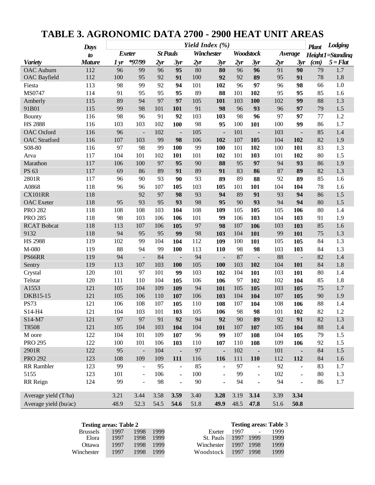|                       | <b>Days</b>   | Yield Index (%) |                          |      |                              |      |                |      | <b>Plant</b>             | Lodging |                |      |                   |
|-----------------------|---------------|-----------------|--------------------------|------|------------------------------|------|----------------|------|--------------------------|---------|----------------|------|-------------------|
| to                    |               |                 | <b>Exeter</b>            |      | <b>St Pauls</b>              |      | Winchester     |      | Woodstock                |         | Average        |      | Height 1=Standing |
| <b>Variety</b>        | <b>Mature</b> | $1 \, yr$       | *97/99                   | 2yr  | 3yr                          | 2yr  | 3yr            | 2yr  | 3yr                      | 2yr     | 3yr            | (cm) | $5 = Flat$        |
| <b>OAC</b> Auburn     | 112           | 96              | 99                       | 96   | 95                           | 80   | 80             | 96   | 96                       | 91      | 90             | 79   | 1.7               |
| <b>OAC</b> Bayfield   | 112           | 100             | 95                       | 92   | 91                           | 100  | 92             | 92   | 89                       | 95      | 91             | 78   | 1.8               |
| Fiesta                | 113           | 98              | 99                       | 92   | 94                           | 101  | 102            | 96   | 97                       | 96      | 98             | 66   | 1.0               |
| MS0747                | 114           | 91              | 95                       | 95   | 95                           | 89   | 88             | 101  | 102                      | 95      | 95             | 85   | 1.6               |
| Amberly               | 115           | 89              | 94                       | 97   | 97                           | 105  | 101            | 103  | 100                      | 102     | 99             | 88   | 1.3               |
| 91B01                 | 115           | 99              | 98                       | 101  | 101                          | 91   | 98             | 96   | 93                       | 96      | 97             | 79   | 1.5               |
| <b>Bounty</b>         | 116           | 98              | 96                       | 91   | 92                           | 103  | 103            | 98   | 96                       | 97      | 97             | 77   | 1.2               |
| <b>HS 2888</b>        | 116           | 103             | 103                      | 102  | 100                          | 98   | 95             | 100  | 101                      | 100     | 99             | 86   | 1.7               |
| <b>OAC</b> Oxford     | 116           | 96              | $\overline{\phantom{a}}$ | 102  | $\blacksquare$               | 105  | $\blacksquare$ | 101  | $\overline{\phantom{a}}$ | 103     | $\blacksquare$ | 85   | 1.4               |
| <b>OAC</b> Stratford  | 116           | 107             | 103                      | 99   | 98                           | 106  | 102            | 107  | 105                      | 104     | 102            | 82   | 1.9               |
| S08-80                | 116           | 97              | 98                       | 99   | 100                          | 99   | 100            | 101  | 102                      | 100     | 101            | 83   | 1.3               |
| Arva                  | 117           | 104             | 101                      | 102  | 101                          | 101  | 102            | 101  | 103                      | 101     | 102            | 80   | 1.5               |
| Marathon              | 117           | 106             | 100                      | 97   | 95                           | 90   | 88             | 95   | 97                       | 94      | 93             | 86   | 1.9               |
| PS 63                 | 117           | 69              | 86                       | 89   | 91                           | 89   | 91             | 83   | 86                       | 87      | 89             | 82   | 1.3               |
| 2801R                 | 117           | 96              | 90                       | 93   | 90                           | 93   | 89             | 89   | 88                       | 92      | 89             | 85   | 1.6               |
| A0868                 | 118           | 96              | 96                       | 107  | 105                          | 103  | 105            | 101  | 101                      | 104     | 104            | 78   | 1.6               |
| <b>CX101RR</b>        | 118           |                 | 92                       | 97   | 98                           | 93   | 94             | 89   | 91                       | 93      | 94             | 86   | 1.5               |
| <b>OAC</b> Exeter     | 118           | 95              | 93                       | 95   | 93                           | 98   | 95             | 90   | 93                       | 94      | 94             | 80   | 1.5               |
| <b>PRO 282</b>        | 118           | 108             | 108                      | 103  | 104                          | 108  | 109            | 105  | 105                      | 105     | 106            | 80   | 1.4               |
| <b>PRO 285</b>        | 118           | 98              | 103                      | 106  | 106                          | 101  | 99             | 106  | 103                      | 104     | 103            | 91   | 1.9               |
| <b>RCAT Bobcat</b>    | 118           | 113             | 107                      | 106  | 105                          | 97   | 98             | 107  | 106                      | 103     | 103            | 85   | 1.6               |
| 9132                  | 118           | 94              | 95                       | 95   | 99                           | 98   | 103            | 104  | 101                      | 99      | 101            | 75   | 1.3               |
| <b>HS 2988</b>        | 119           | 102             | 99                       | 104  | 104                          | 112  | 109            | 100  | 101                      | 105     | 105            | 84   | 1.3               |
| M-080                 | 119           | 88              | 94                       | 99   | 100                          | 113  | 110            | 98   | 98                       | 103     | 103            | 84   | 1.3               |
| PS66RR                | 119           | 94              | $\overline{\phantom{a}}$ | 84   | $\blacksquare$               | 94   | $\blacksquare$ | 87   | $\blacksquare$           | 88      | $\blacksquare$ | 82   | 1.4               |
| Sentry                | 119           | 113             | 107                      | 103  | 100                          | 105  | <b>100</b>     | 103  | 102                      | 104     | 101            | 84   | 1.8               |
| Crystal               | 120           | 101             | 97                       | 101  | 99                           | 103  | 102            | 104  | 101                      | 103     | 101            | 80   | 1.4               |
| Telstar               | 120           | 111             | 110                      | 104  | 105                          | 106  | 106            | 97   | 102                      | 102     | 104            | 85   | 1.8               |
| A1553                 | 121           | 105             | 104                      | 109  | 109                          | 94   | 101            | 105  | 105                      | 103     | 105            | 75   | 1.7               |
| DKB15-15              | 121           | 105             | 106                      | 110  | 107                          | 106  | 103            | 104  | 104                      | 107     | 105            | 90   | 1.9               |
| <b>PS73</b>           | 121           | 106             | 108                      | 107  | 105                          | 110  | 108            | 107  | 104                      | 108     | 106            | 88   | 1.4               |
| S14-H4                | 121           | 104             | 103                      | 101  | 103                          | 105  | 106            | 98   | 98                       | 101     | 102            | 82   | 1.2               |
| S14-M7                | 121           | 97              | 97                       | 91   | 92                           | 94   | 92             | 90   | 89                       | 92      | 91             | 82   | 1.3               |
| T8508                 | 121           | 105             | 104                      | 103  | 104                          | 104  | 101            | 107  | 107                      | 105     | 104            | 88   | 1.4               |
| M oore                | 122           | 104             | 101                      | 109  | 107                          | 96   | 99             | 107  | 108                      | 104     | 105            | 79   | 1.5               |
| <b>PRO 295</b>        | 122           | 100             | 101                      | 106  | 103                          | 110  | 107            | 110  | 108                      | 109     | 106            | 92   | 1.5               |
| 2901R                 | 122           | 95              | $\sim$                   | 104  | $\blacksquare$               | 97   | $\blacksquare$ | 102  | $\blacksquare$           | 101     | $\blacksquare$ | 84   | $1.5\,$           |
| <b>PRO 292</b>        | 123           | 108             | 109                      | 109  | 111                          | 116  | 116            | 111  | 110                      | 112     | 112            | 84   | 1.6               |
| RR Rambler            | 123           | 99              | $\blacksquare$           | 95   | $\qquad \qquad \blacksquare$ | 85   | $\blacksquare$ | 97   | ۰                        | 92      | $\blacksquare$ | 83   | 1.7               |
| 5155                  | 123           | 101             | $\overline{\phantom{a}}$ | 106  | ä,                           | 100  |                | 99   | ä,                       | 102     |                | 80   | 1.3               |
| RR Reign              | 124           | 99              | $\bar{\phantom{a}}$      | 98   | $\blacksquare$               | 90   | Ĭ.             | 94   | ä,                       | 94      |                | 86   | 1.7               |
| Average yield (T/ha)  |               | 3.21            | 3.44                     | 3.58 | 3.59                         | 3.40 | 3.28           | 3.19 | 3.14                     | 3.39    | 3.34           |      |                   |
| Average yield (bu/ac) |               | 48.9            | 52.3                     | 54.5 | 54.6                         | 51.8 | 49.9           | 48.5 | 47.8                     | 51.6    | 50.8           |      |                   |

## **TABLE 3. AGRONOMIC DATA 2700 - 2900 HEAT UNIT AREAS**

| <b>Testing areas: Table 2</b> |      |      |      |            |      |        | <b>Testing areas: Table</b> |
|-------------------------------|------|------|------|------------|------|--------|-----------------------------|
| <b>Brussels</b>               | 1997 | 1998 | 1999 | Exeter     | 1997 | $\sim$ | 1999                        |
| Elora                         | 1997 | 1998 | 1999 | St. Pauls  | 1997 | 1999   | 1999                        |
| Ottawa                        | 1997 | 1998 | 1999 | Winchester | 1997 | 1998   | 1999                        |
| Winchester                    | 1997 | 1998 | 1999 | Woodstock  | 1997 | 1998   | 1999                        |

| <b>Testing areas: Table 2</b> |      |      |      |                     |      |        | <b>Testing areas: Table 3</b> |
|-------------------------------|------|------|------|---------------------|------|--------|-------------------------------|
| 3russels -                    | 1997 | 1998 | 1999 | Exeter              |      | 1997 - | 1999                          |
| Elora                         | 1997 | 1998 | 1999 | St. Pauls 1997 1999 |      |        | 1999                          |
| Ottawa                        | 1997 | 1998 | 1999 | Winchester          | 1997 | - 1998 | 1999                          |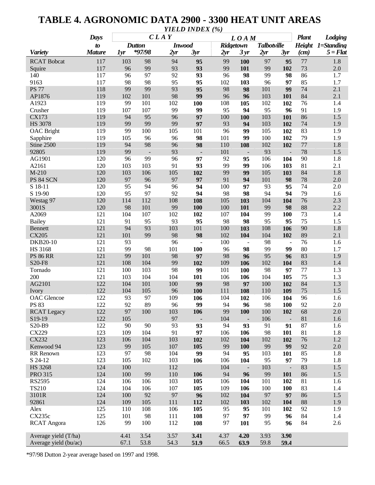### **TABLE 4. AGRONOMIC DATA 2900 - 3300 HEAT UNIT AREAS** *YIELD INDEX (%)*

|                       | <b>Days</b>                | ,,,,,,,,,,,,,,<br>CLAY |                          |               |           | LOAM      | <b>Plant</b>                   | <b>Lodging</b>     |                                        |               |            |
|-----------------------|----------------------------|------------------------|--------------------------|---------------|-----------|-----------|--------------------------------|--------------------|----------------------------------------|---------------|------------|
|                       | $\boldsymbol{\mathit{to}}$ |                        | <b>Dutton</b>            | <b>Inwood</b> |           | Ridgetown |                                | <b>Talbotville</b> |                                        | <b>Height</b> | 1=Standing |
| <i>Variety</i>        | <b>Mature</b>              | 1yr                    | $*97/98$                 | 2yr           | 3yr       | 2yr       | 3 yr                           | 2yr                | 3yr                                    | (cm)          | $5 = Flat$ |
| <b>RCAT Bobcat</b>    | 117                        | 103                    | 98                       | 94            | 95        | 99        | 100                            | 97                 | 95                                     | 77            | 1.8        |
| Squire                | 117                        | 96                     | 99                       | 93            | 93        | 99        | 101                            | 99                 | 102                                    | 73            | 2.0        |
| 140                   | 117                        | 96                     | 97                       | 92            | 93        | 96        | 98                             | 99                 | 98                                     | 86            | 1.7        |
| 9163                  | 117                        | 98                     | 98                       | 95            | 95        | 102       | 103                            | 96                 | 97                                     | 85            | 1.7        |
| <b>PS 77</b>          | 118                        | 99                     | 99                       | 93            | 95        | 98        | 98                             | 101                | 99                                     | 74            | 2.1        |
| AP1876                | 119                        | 102                    | 101                      | 98            | 99        | 96        | 96                             | 103                | 101                                    | 84            | 2.1        |
| A1923                 | 119                        | 99                     | 101                      | 102           | 100       | 108       | 105                            | 102                | 102                                    | 76            | 1.4        |
| Crusher               | 119                        | 107                    | 107                      | 99            | 99        | 95        | 94                             | 95                 | 96                                     | 91            | 1.9        |
| <b>CX173</b>          | 119                        | 94                     | 95                       | 96            | 97        | 100       | 100                            | 103                | 101                                    | 86            | 1.5        |
| <b>HS 3078</b>        | 119                        | 99                     | 99                       | 99            | 97        | 93        | 94                             | 103                | 102                                    | 74            | 1.9        |
| <b>OAC</b> Bright     | 119                        | 99                     | 100                      | 105           | 101       | 96        | 99                             | 105                | 102                                    | 83            | 1.9        |
| Sapphire              | 119                        | 105                    | 96                       | 96            | 98        | 101       | 99                             | 100                | 102                                    | 79            | 1.9        |
| Stine 2500            | 119                        | 94                     | 98                       | 96            | 98        | 110       | 108                            | 102                | 102                                    | 77            | $1.8\,$    |
| 92805                 | 119                        | 99                     | $\overline{\phantom{a}}$ | 93            | ۰         | 101       | $\overline{\phantom{a}}$<br>95 | 93                 | $\blacksquare$                         | 78            | 1.5        |
| AG1901<br>A2161       | 120<br>120                 | 96                     | 99<br>103                | 96            | 97        | 92<br>99  |                                | 106                | 104                                    | 90<br>81      | 1.8<br>2.1 |
| M-210                 | 120                        | 103<br>103             | 106                      | 91<br>105     | 93<br>102 | 99        | 99<br>99                       | 106<br>105         | 103<br>103                             | 84            | 1.8        |
| PS 84 SCN             | 120                        | 97                     | 96                       | 97            | 97        | 91        | 94                             | 101                | 98                                     | 78            | 2.0        |
| S 18-11               | 120                        | 95                     | 94                       | 96            | 94        | 100       | 97                             | 93                 | 95                                     | 74            | 2.0        |
| S 19-90               | 120                        | 95                     | 97                       | 92            | 94        | 98        | 98                             | 94                 | 94                                     | 79            | 1.6        |
| Westag 97             | 120                        | 114                    | 112                      | 108           | 108       | 105       | 103                            | 104                | 104                                    | 76            | 2.3        |
| 3001S                 | 120                        | 98                     | 101                      | 99            | 100       | 100       | 101                            | 99                 | 98                                     | 88            | 2.2        |
| A2069                 | 121                        | 104                    | 107                      | 102           | 102       | 107       | 104                            | 99                 | <b>100</b>                             | 73            | 1.4        |
| <b>Bailey</b>         | 121                        | 91                     | 95                       | 93            | 95        | 98        | 98                             | 95                 | 95                                     | 75            | 1.5        |
| <b>Bennett</b>        | 121                        | 94                     | 93                       | 103           | 101       | 100       | 103                            | 108                | 106                                    | 90            | 1.8        |
| <b>CX205</b>          | 121                        | 101                    | 99                       | 98            | 98        | 102       | 104                            | 104                | 102                                    | 89            | 2.1        |
| DKB20-10              | 121                        | 93                     |                          | 96            | ÷,        | 100       | $\bar{\phantom{a}}$            | 98                 | $\Box$                                 | 76            | 1.6        |
| <b>HS 3168</b>        | 121                        | 99                     | 98                       | 101           | 100       | 96        | 98                             | 99                 | 99                                     | 80            | 1.7        |
| <b>PS 86 RR</b>       | 121                        | 99                     | 101                      | 98            | 97        | 98        | 96                             | 95                 | 96                                     | 83            | 1.9        |
| S20-F8                | 121                        | 108                    | 104                      | 99            | 102       | 109       | 106                            | 102                | 104                                    | 83            | 1.4        |
| Tornado               | 121                        | 100                    | 103                      | 98            | 99        | 101       | 100                            | 98                 | 97                                     | 77            | 1.3        |
| 200                   | 121                        | 103                    | 104                      | 104           | 101       | 106       | 106                            | 104                | 105                                    | 75            | 1.3        |
| AG2101                | 122                        | 104                    | 101                      | 100           | 99        | 98        | 97                             | 100                | 102                                    | 84            | 1.3        |
| Ivory                 | 122                        | 104                    | 105                      | 96            | 100       | 111       | 108                            | 110                | 109                                    | 75            | 1.5        |
| <b>OAC</b> Glencoe    | 122                        | 93                     | 97                       | 109           | 106       | 104       | 102                            | 106                | 104                                    | 96            | 1.6        |
| <b>PS 83</b>          | 122                        | 92                     | 89                       | 96            | 99        | 94        | 96                             | 98                 | <b>100</b>                             | 92            | 2.0        |
| <b>RCAT</b> Legacy    | 122                        | 97                     | 100                      | 103           | 106       | 99        | <b>100</b>                     | 100                | 102                                    | 68            | 2.0        |
| S19-19                | 122                        | 105                    |                          | 97            |           | 104       | $\overline{\phantom{a}}$       | 106                |                                        | 81            | 1.6        |
| S20-B9                | 122                        | 90                     | 90                       | 93            | 93        | 94        | 93                             | 91                 | 91                                     | 87            | 1.6        |
| CX229                 | 123                        | 109                    | 104                      | 91            | 97        | 106       | 106                            | 98                 | 101                                    | 81            | 1.8        |
| <b>CX232</b>          | 123                        | 106                    | 104                      | 103           | 102       | 102       | 104                            | 102                | 102                                    | 76            | 1.2        |
| Kenwood 94            | 123                        | 99<br>97               | 105<br>98                | 107           | 105       | 99<br>94  | <b>100</b>                     | 99                 | 99                                     | 92<br>85      | 2.0        |
| RR Renown<br>S 24-12  | 123<br>123                 | 105                    | 102                      | 104<br>103    | 99<br>106 | 106       | 95<br>104                      | 103<br>95          | 101<br>97                              | 79            | 1.8<br>1.8 |
| <b>HS 3268</b>        | 124                        | 100                    |                          | 112           |           | 104       |                                | 103                |                                        | 83            | 1.5        |
| <b>PRO 315</b>        | 124                        | 100                    | 99                       | 110           | 106       | 94        | $\overline{\phantom{a}}$<br>96 | 99                 | $\overline{\phantom{a}}$<br><b>101</b> | 86            | 1.5        |
| RS2595                | 124                        | 106                    | 106                      | 103           | 105       | 106       | 104                            | 101                | 102                                    | 81            | 1.6        |
| <b>TS210</b>          | 124                        | 104                    | 106                      | 107           | 105       | 109       | 106                            | 100                | <b>100</b>                             | 83            | 1.4        |
| 3101R                 | 124                        | 100                    | 92                       | 97            | 96        | 102       | 104                            | 97                 | 97                                     | 86            | 1.5        |
| 92861                 | 124                        | 109                    | 105                      | 111           | 112       | 102       | 103                            | 102                | 104                                    | 88            | 1.9        |
| Alex                  | 125                        | 110                    | 108                      | 106           | 105       | 95        | 95                             | 101                | 102                                    | 92            | 1.9        |
| <b>CX235c</b>         | 125                        | 101                    | 98                       | 111           | 108       | 97        | 97                             | 99                 | 96                                     | 84            | 1.4        |
| <b>RCAT</b> Angora    | 126                        | 99                     | 100                      | 112           | 108       | 97        | 101                            | 95                 | 96                                     | 84            | 2.6        |
|                       |                            |                        |                          |               |           |           |                                |                    |                                        |               |            |
| Average yield (T/ha)  |                            | 4.41                   | 3.54                     | 3.57          | 3.41      | 4.37      | 4.20                           | 3.93               | 3.90                                   |               |            |
| Average yield (bu/ac) |                            | 67.1                   | 53.8                     | 54.3          | 51.9      | 66.5      | 63.9                           | 59.8               | 59.4                                   |               |            |

\*97/98 Dutton 2-year average based on 1997 and 1998.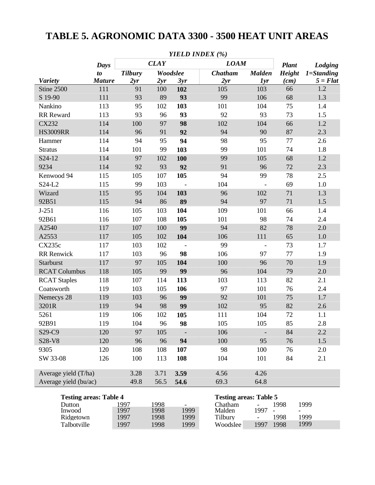# **TABLE 5. AGRONOMIC DATA 3300 - 3500 HEAT UNIT AREAS**

|                                                                |                           |                      | <b>CLAY</b>          | IILLD INDLA (70) | <b>LOAM</b>                                                   |               |                               |                           |
|----------------------------------------------------------------|---------------------------|----------------------|----------------------|------------------|---------------------------------------------------------------|---------------|-------------------------------|---------------------------|
|                                                                | Days<br>$\boldsymbol{to}$ | <b>Tilbury</b>       |                      | Woodslee         | <b>Chatham</b>                                                | <b>Malden</b> | <b>Plant</b><br><b>Height</b> | Lodging<br>$1 =$ Standing |
| <b>Variety</b>                                                 | <b>Mature</b>             | 2yr                  | 2yr                  | 3yr              | 2yr                                                           | 1yr           | (cm)                          | $5 = Flat$                |
| Stine 2500                                                     | 111                       | 91                   | 100                  | 102              | 105                                                           | 103           | 66                            | 1.2                       |
| S 19-90                                                        | 111                       | 93                   | 89                   | 93               | 99                                                            | 106           | 68                            | 1.3                       |
| Nankino                                                        | 113                       | 95                   | 102                  | 103              | 101                                                           | 104           | 75                            | 1.4                       |
| <b>RR</b> Reward                                               | 113                       | 93                   | 96                   | 93               | 92                                                            | 93            | 73                            | 1.5                       |
| <b>CX232</b>                                                   | 114                       | 100                  | 97                   | 98               | 102                                                           | 104           | 66                            | 1.2                       |
| <b>HS3009RR</b>                                                | 114                       | 96                   | 91                   | 92               | 94                                                            | 90            | 87                            | 2.3                       |
| Hammer                                                         | 114                       | 94                   | 95                   | 94               | 98                                                            | 95            | $77 \,$                       | 2.6                       |
| <b>Stratus</b>                                                 | 114                       | 101                  | 99                   | 103              | 99                                                            | 101           | 74                            | 1.8                       |
| S24-12                                                         | 114                       | 97                   | 102                  | 100              | 99                                                            | 105           | 68                            | 1.2                       |
| 9234                                                           | 114                       | 92                   | 93                   | 92               | 91                                                            | 96            | 72                            | 2.3                       |
| Kenwood 94                                                     | 115                       | 105                  | 107                  | 105              | 94                                                            | 99            | 78                            | 2.5                       |
| S24-L2                                                         | 115                       | 99                   | 103                  |                  | 104                                                           |               | 69                            | 1.0                       |
| Wizard                                                         | 115                       | 95                   | 104                  | 103              | 96                                                            | 102           | 71                            | 1.3                       |
| 92B51                                                          | 115                       | 94                   | 86                   | 89               | 94                                                            | 97            | 71                            | 1.5                       |
| $J-251$                                                        | 116                       | 105                  | 103                  | 104              | 109                                                           | 101           | 66                            | 1.4                       |
| 92B61                                                          | 116                       | 107                  | 108                  | 105              | 101                                                           | 98            | 74                            | 2.4                       |
| A2540                                                          | 117                       | 107                  | 100                  | 99               | 94                                                            | 82            | 78                            | 2.0                       |
| A2553                                                          | 117                       | 105                  | 102                  | 104              | 106                                                           | 111           | 65                            | 1.0                       |
| <b>CX235c</b>                                                  | 117                       | 103                  | 102                  |                  | 99                                                            |               | 73                            | 1.7                       |
| <b>RR</b> Renwick                                              | 117                       | 103                  | 96                   | 98               | 106                                                           | 97            | 77                            | 1.9                       |
| Starburst                                                      | 117                       | 97                   | 105                  | 104              | 100                                                           | 96            | 70                            | 1.9                       |
| <b>RCAT Columbus</b>                                           | 118                       | 105                  | 99                   | 99               | 96                                                            | 104           | 79                            | 2.0                       |
| <b>RCAT Staples</b>                                            | 118                       | 107                  | 114                  | 113              | 103                                                           | 113           | 82                            | 2.1                       |
| Coatsworth                                                     | 119                       | 103                  | 105                  | 106              | 97                                                            | 101           | 76                            | 2.4                       |
| Nemecys 28                                                     | 119                       | 103                  | 96                   | 99               | 92                                                            | 101           | 75                            | 1.7                       |
| 3201R                                                          | 119                       | 94                   | 98                   | 99               | 102                                                           | 95            | 82                            | 2.6                       |
| 5261                                                           | 119                       | 106                  | 102                  | 105              | 111                                                           | 104           | 72                            | 1.1                       |
| 92B91                                                          | 119                       | 104                  | 96                   | 98               | 105                                                           | 105           | 85                            | 2.8                       |
| S29-C9                                                         | 120                       | 97                   | 105                  |                  | 106                                                           | -             | 84                            | 2.2                       |
| S28-V8                                                         | 120                       | 96                   | 96                   | 94               | 100                                                           | 95            | 76                            | 1.5                       |
| 9305                                                           | 120                       | 108                  | 108                  | 107              | 98                                                            | 100           | 76                            | 2.0                       |
| SW 33-08                                                       | 126                       | 100                  | 113                  | 108              | 104                                                           | 101           | 84                            | 2.1                       |
| Average yield (T/ha)                                           |                           | 3.28                 | 3.71                 | 3.59             | 4.56                                                          | 4.26          |                               |                           |
| Average yield (bu/ac)                                          |                           | 49.8                 | 56.5                 | 54.6             | 69.3                                                          | 64.8          |                               |                           |
| <b>Testing areas: Table 4</b><br>Dutton<br>Inwood<br>Ridgetown |                           | 1997<br>1997<br>1997 | 1998<br>1998<br>1998 | 1999<br>1999     | <b>Testing areas: Table 5</b><br>Chatham<br>Malden<br>Tilbury | 1997          | 1998<br>1998                  | 1999<br>1999              |
| Talbotville                                                    |                           | 1997                 | 1998                 | 1999             | Woodslee                                                      | 1997          | 1998                          | 1999                      |

### *YIELD INDEX (%)*